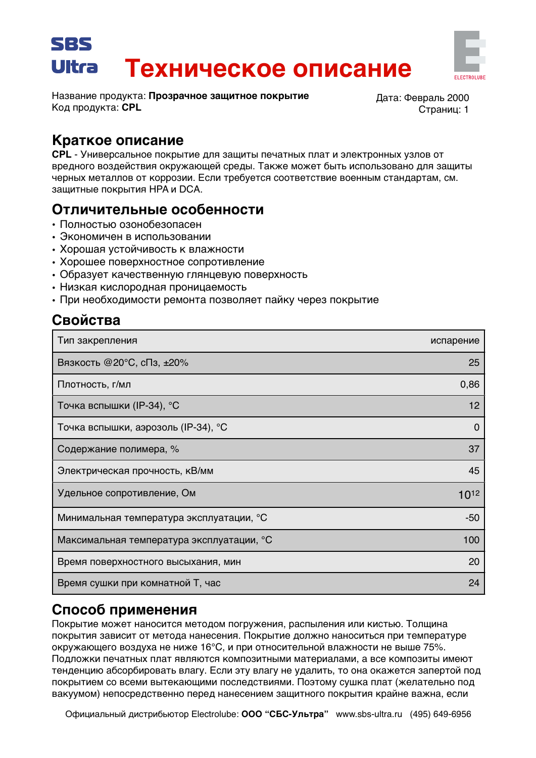# SBS Техническое описание Ultra



Название продукта: Прозрачное защитное покрытие Код продукта: CPL

Дата: Февраль 2000 Страниц: 1

#### Краткое описание

CPL - Универсальное покрытие для защиты печатных плат и электронных узлов от вредного воздействия окружающей среды. Также может быть использовано для защиты черных металлов от коррозии. Если требуется соответствие военным стандартам, см. защитные покрытия НРА и DCA.

## Отличительные особенности

- Полностью озонобезопасен
- Экономичен в использовании
- Хорошая устойчивость к влажности
- Хорошее поверхностное сопротивление
- Образует качественную глянцевую поверхность
- Низкая кислородная проницаемость
- При необходимости ремонта позволяет пайку через покрытие

# Свойства

| Тип закрепления                           | испарение |
|-------------------------------------------|-----------|
| Вязкость @20°С, сПз, ±20%                 | 25        |
| Плотность, г/мл                           | 0,86      |
| Точка вспышки (IP-34), °С                 | 12        |
| Точка вспышки, аэрозоль (IP-34), °С       | 0         |
| Содержание полимера, %                    | 37        |
| Электрическая прочность, кВ/мм            | 45        |
| Удельное сопротивление, Ом                | 1012      |
| Минимальная температура эксплуатации, °С  | -50       |
| Максимальная температура эксплуатации, °С | 100       |
| Время поверхностного высыхания, мин       | 20        |
| Время сушки при комнатной Т, час          | 24        |

## Способ применения

Покрытие может наносится методом погружения, распыления или кистью. Толщина покрытия зависит от метода нанесения. Покрытие должно наноситься при температуре окружающего воздуха не ниже 16°С, и при относительной влажности не выше 75%. Подложки печатных плат являются композитными материалами, а все композиты имеют тенденцию абсорбировать влагу. Если эту влагу не удалить, то она окажется запертой под покрытием со всеми вытекающими последствиями. Поэтому сушка плат (желательно под вакуумом) непосредственно перед нанесением защитного покрытия крайне важна, если

Официальный дистрибьютор Electrolube: ООО "СБС-Ультра" www.sbs-ultra.ru (495) 649-6956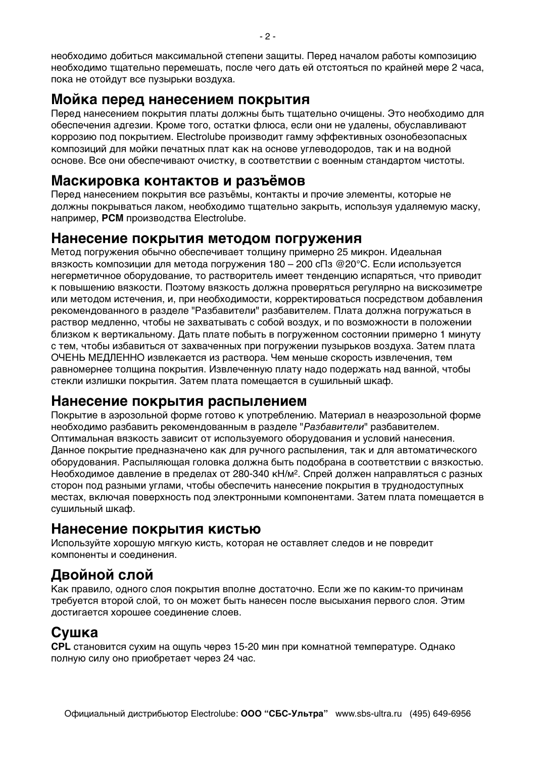необходимо добиться максимальной степени защиты. Перед началом работы композицию необходимо тшательно перемешать, после чего дать ей отстояться по крайней мере 2 часа. пока не отойдут все пузырьки воздуха.

### Мойка перед нанесением покрытия

Перед нанесением покрытия платы должны быть тщательно очищены. Это необходимо для обеспечения адгезии. Кроме того, остатки флюса, если они не удалены, обуславливают коррозию под покрытием. Electrolube производит гамму эффективных озонобезопасных композиций для мойки печатных плат как на основе углеводородов, так и на водной основе. Все они обеспечивают очистку, в соответствии с военным стандартом чистоты.

### Маскировка контактов и разъёмов

Перед нанесением покрытия все разъёмы, контакты и прочие элементы, которые не должны покрываться лаком, необходимо тщательно закрыть, используя удаляемую маску, например. PCM производства Electrolube.

#### Нанесение покрытия методом погружения

Метод погружения обычно обеспечивает толшину примерно 25 микрон. Идеальная вязкость композиции для метода погружения 180 - 200 сПз @20°С. Если используется негерметичное оборудование, то растворитель имеет тенденцию испаряться, что приводит к повышению вязкости. Поэтому вязкость должна проверяться регулярно на вискозиметре или методом истечения, и, при необходимости, корректироваться посредством добавления рекомендованного в разделе "Разбавители" разбавителем. Плата должна погружаться в раствор медленно, чтобы не захватывать с собой воздух, и по возможности в положении близком к вертикальному. Дать плате побыть в погруженном состоянии примерно 1 минуту с тем, чтобы избавиться от захваченных при погружении пузырьков воздуха. Затем плата ОЧЕНЬ МЕДЛЕННО извлекается из раствора. Чем меньше скорость извлечения, тем равномернее толщина покрытия. Извлеченную плату надо подержать над ванной, чтобы стекли излишки покрытия. Затем плата помещается в сушильный шкаф.

#### Нанесение покрытия распылением

Покрытие в аэрозольной форме готово к употреблению. Материал в неаэрозольной форме необходимо разбавить рекомендованным в разделе "Разбавители" разбавителем. Оптимальная вязкость зависит от используемого оборудования и условий нанесения. Данное покрытие предназначено как для ручного распыления, так и для автоматического оборудования. Распыляющая головка должна быть подобрана в соответствии с вязкостью. Необходимое давление в пределах от 280-340 кН/м<sup>2</sup>. Спрей должен направляться с разных сторон под разными углами, чтобы обеспечить нанесение покрытия в труднодоступных местах, включая поверхность под электронными компонентами. Затем плата помещается в сушильный шкаф.

## Нанесение покрытия кистью

Используйте хорошую мягкую кисть, которая не оставляет следов и не повредит компоненты и соединения.

# Двойной слой

Как правило, одного слоя покрытия вполне достаточно. Если же по каким-то причинам требуется второй слой, то он может быть нанесен после высыхания первого слоя. Этим достигается хорошее соединение слоев.

## Сушка

CPL становится сухим на ощупь через 15-20 мин при комнатной температуре. Однако полную силу оно приобретает через 24 час.